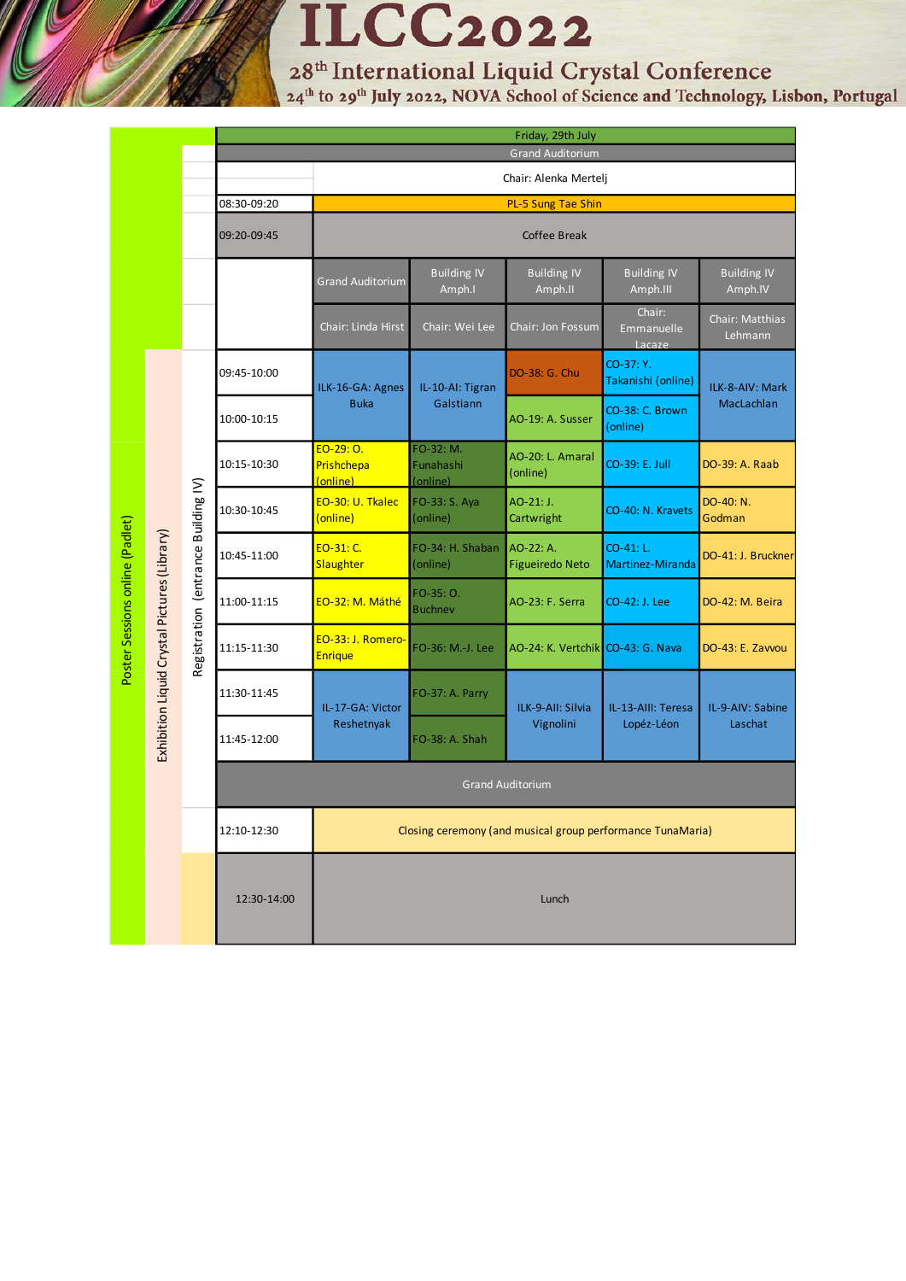**ILCC2022** 

28<sup>th</sup> International Liquid Crystal Conference<br><sup>24th</sup> to 29<sup>th</sup> July 2022, NOVA School of Science and Technology, Lisbon, Portugal

|                                 |                                              |                                     | Friday, 29th July       |                                                            |                                    |                                     |                                  |                               |
|---------------------------------|----------------------------------------------|-------------------------------------|-------------------------|------------------------------------------------------------|------------------------------------|-------------------------------------|----------------------------------|-------------------------------|
|                                 |                                              |                                     |                         | <b>Grand Auditorium</b>                                    |                                    |                                     |                                  |                               |
|                                 |                                              |                                     |                         | Chair: Alenka Mertelj                                      |                                    |                                     |                                  |                               |
|                                 |                                              |                                     | 08:30-09:20             | PL-5 Sung Tae Shin<br><b>Coffee Break</b>                  |                                    |                                     |                                  |                               |
|                                 |                                              |                                     | 09:20-09:45             |                                                            |                                    |                                     |                                  |                               |
|                                 |                                              |                                     |                         | <b>Grand Auditorium</b>                                    | <b>Building IV</b><br>Amph.I       | <b>Building IV</b><br>Amph.II       | <b>Building IV</b><br>Amph.III   | <b>Building IV</b><br>Amph.IV |
| Poster Sessions online (Padlet) |                                              |                                     |                         | Chair: Linda Hirst                                         | Chair: Wei Lee                     | Chair: Jon Fossum                   | Chair:<br>Emmanuelle<br>Lacaze   | Chair: Matthias<br>Lehmann    |
|                                 | Exhibition Liquid Crystal Pictures (Library) | Registration (entrance Building IV) | 09:45-10:00             | ILK-16-GA: Agnes<br><b>Buka</b>                            | IL-10-AI: Tigran<br>Galstiann      | DO-38: G. Chu                       | CO-37: Y.<br>Takanishi (online)  | ILK-8-AIV: Mark<br>MacLachlan |
|                                 |                                              |                                     | 10:00-10:15             |                                                            |                                    | AO-19: A. Susser                    | CO-38: C. Brown<br>(online)      |                               |
|                                 |                                              |                                     | 10:15-10:30             | EO-29: 0.<br>Prishchepa<br>(online)                        | FO-32: M.<br>Funahashi<br>(online) | AO-20: L. Amaral<br>(online)        | CO-39: E. Jull                   | DO-39: A. Raab                |
|                                 |                                              |                                     | 10:30-10:45             | EO-30: U. Tkalec<br>(online)                               | FO-33: S. Aya<br>(online)          | AO-21: J.<br>Cartwright             | CO-40: N. Kravets                | DO-40: N.<br>Godman           |
|                                 |                                              |                                     | 10:45-11:00             | EO-31: C.<br>Slaughter                                     | FO-34: H. Shaban<br>(online)       | AO-22: A.<br><b>Figueiredo Neto</b> | CO-41: L.<br>Martinez-Miranda    | DO-41: J. Bruckner            |
|                                 |                                              |                                     | 11:00-11:15             | EO-32: M. Máthé                                            | FO-35: O.<br><b>Buchnev</b>        | AO-23: F. Serra                     | CO-42: J. Lee                    | DO-42: M. Beira               |
|                                 |                                              |                                     | 11:15-11:30             | EO-33: J. Romero-<br><b>Enrique</b>                        | FO-36: M.-J. Lee                   | AO-24: K. Vertchik CO-43: G. Nava   |                                  | DO-43: E. Zavvou              |
|                                 |                                              |                                     | 11:30-11:45             | IL-17-GA: Victor<br>Reshetnyak                             | FO-37: A. Parry                    | ILK-9-All: Silvia<br>Vignolini      | IL-13-AIII: Teresa<br>Lopéz-Léon | IL-9-AIV: Sabine<br>Laschat   |
|                                 |                                              |                                     | 11:45-12:00             |                                                            | FO-38: A. Shah                     |                                     |                                  |                               |
|                                 |                                              |                                     | <b>Grand Auditorium</b> |                                                            |                                    |                                     |                                  |                               |
|                                 |                                              |                                     | 12:10-12:30             | Closing ceremony (and musical group performance TunaMaria) |                                    |                                     |                                  |                               |
|                                 |                                              |                                     | 12:30-14:00             | Lunch                                                      |                                    |                                     |                                  |                               |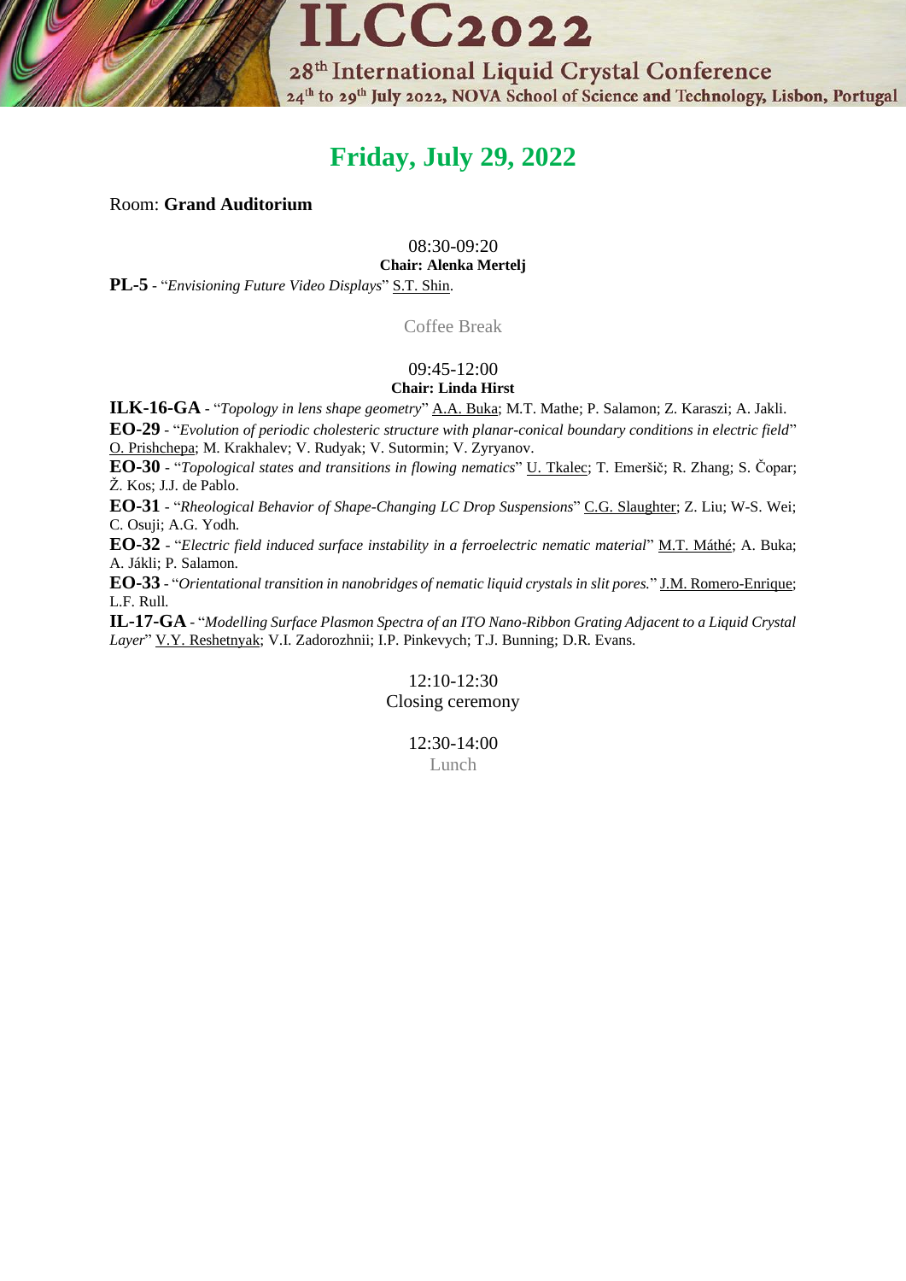

# **Friday, July 29, 2022**

### Room: **Grand Auditorium**

08:30-09:20

**Chair: Alenka Mertelj**

**PL-5** - "*Envisioning Future Video Displays*" S.T. Shin.

Coffee Break

### 09:45-12:00 **Chair: Linda Hirst**

**ILK-16-GA** - "*Topology in lens shape geometry*" A.A. Buka; M.T. Mathe; P. Salamon; Z. Karaszi; A. Jakli.

**EO-29** - "*Evolution of periodic cholesteric structure with planar-conical boundary conditions in electric field*" O. Prishchepa; M. Krakhalev; V. Rudyak; V. Sutormin; V. Zyryanov.

**EO-30** - "*Topological states and transitions in flowing nematics*" U. Tkalec; T. Emeršič; R. Zhang; S. Čopar; Ž. Kos; J.J. de Pablo.

**EO-31** - "*Rheological Behavior of Shape-Changing LC Drop Suspensions*" C.G. Slaughter; Z. Liu; W-S. Wei; C. Osuji; A.G. Yodh.

**EO-32** - "*Electric field induced surface instability in a ferroelectric nematic material*" M.T. Máthé; A. Buka; A. Jákli; P. Salamon.

**EO-33** - "*Orientational transition in nanobridges of nematic liquid crystals in slit pores.*" J.M. Romero-Enrique; L.F. Rull.

**IL-17-GA** - "*Modelling Surface Plasmon Spectra of an ITO Nano-Ribbon Grating Adjacent to a Liquid Crystal Layer*" V.Y. Reshetnyak; V.I. Zadorozhnii; I.P. Pinkevych; T.J. Bunning; D.R. Evans.

# 12:10-12:30 Closing ceremony

12:30-14:00 Lunch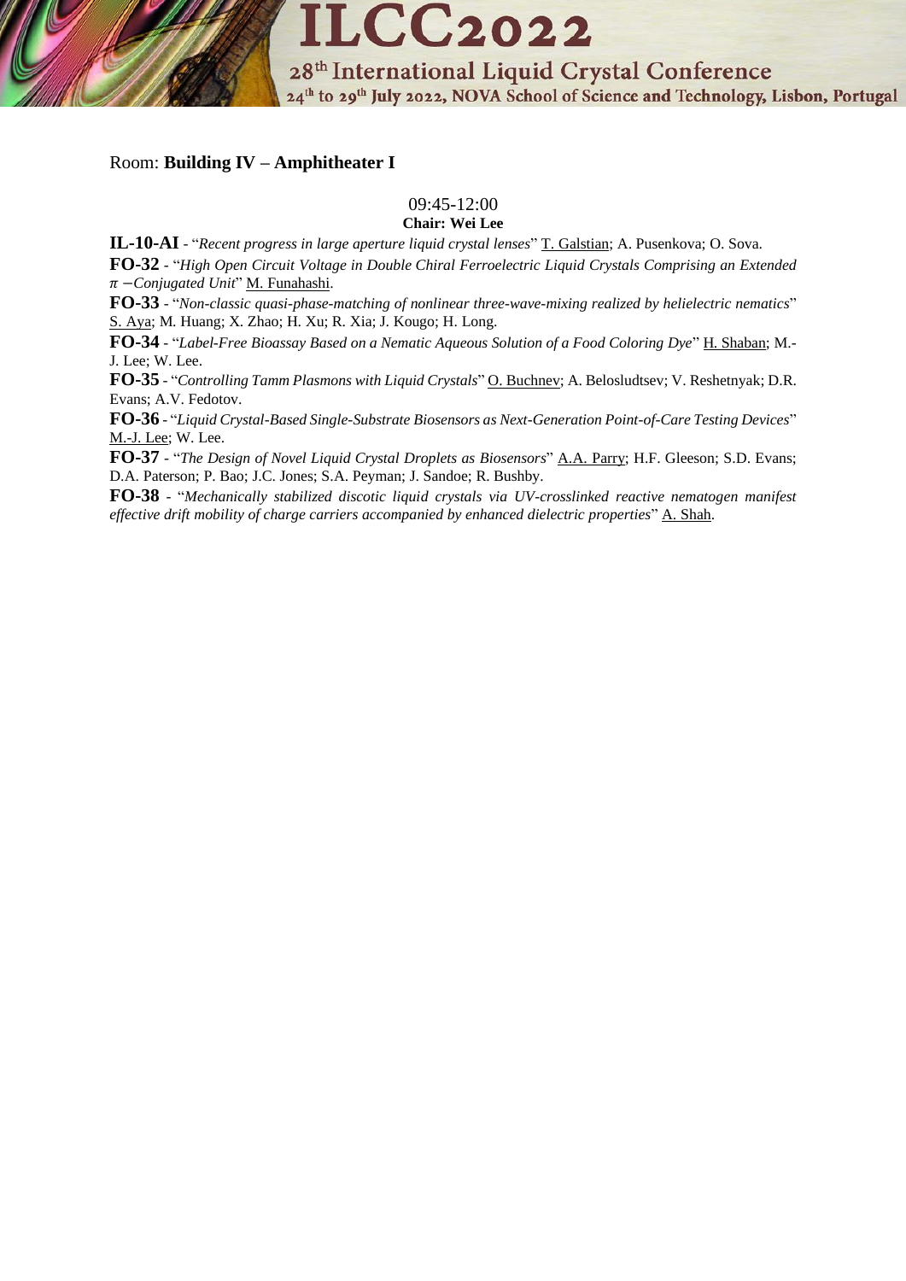

### Room: **Building IV – Amphitheater I**

### 09:45-12:00

**Chair: Wei Lee**

**IL-10-AI** - "*Recent progress in large aperture liquid crystal lenses*" T. Galstian; A. Pusenkova; O. Sova. **FO-32** - "*High Open Circuit Voltage in Double Chiral Ferroelectric Liquid Crystals Comprising an Extended*  −*Conjugated Unit*" M. Funahashi.

**FO-33** - "*Non-classic quasi-phase-matching of nonlinear three-wave-mixing realized by helielectric nematics*" S. Aya; M. Huang; X. Zhao; H. Xu; R. Xia; J. Kougo; H. Long.

**FO-34** - "*Label-Free Bioassay Based on a Nematic Aqueous Solution of a Food Coloring Dye*" H. Shaban; M.- J. Lee; W. Lee.

**FO-35** - "*Controlling Tamm Plasmons with Liquid Crystals*" O. Buchnev; A. Belosludtsev; V. Reshetnyak; D.R. Evans; A.V. Fedotov.

**FO-36** - "*Liquid Crystal-Based Single-Substrate Biosensors as Next-Generation Point-of-Care Testing Devices*" M.-J. Lee; W. Lee.

**FO-37** - "*The Design of Novel Liquid Crystal Droplets as Biosensors*" A.A. Parry; H.F. Gleeson; S.D. Evans; D.A. Paterson; P. Bao; J.C. Jones; S.A. Peyman; J. Sandoe; R. Bushby.

**FO-38** - "*Mechanically stabilized discotic liquid crystals via UV-crosslinked reactive nematogen manifest effective drift mobility of charge carriers accompanied by enhanced dielectric properties*" A. Shah.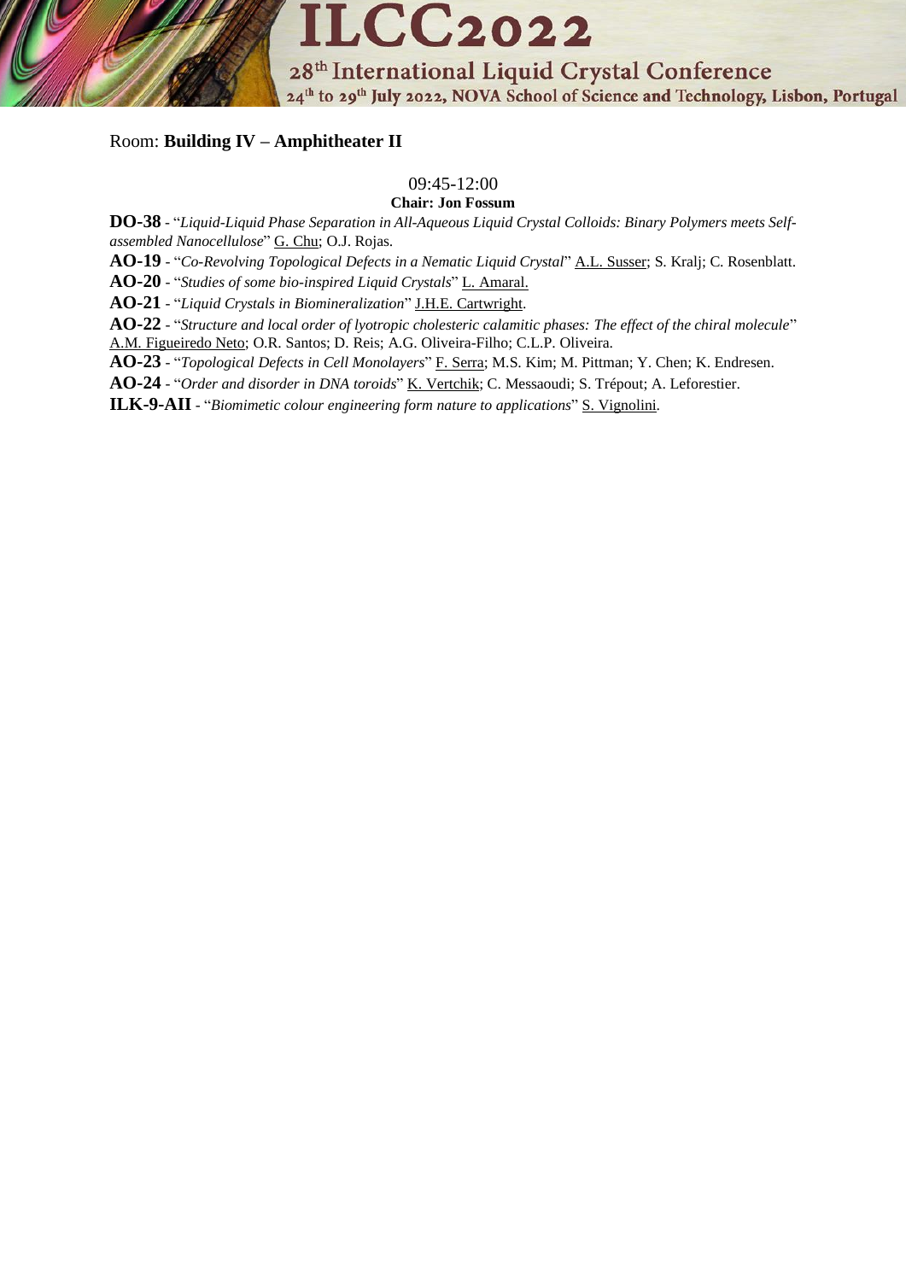**ILCC2022** 28<sup>th</sup> International Liquid Crystal Conference 24<sup>th</sup> to 29<sup>th</sup> July 2022, NOVA School of Science and Technology, Lisbon, Portugal

## Room: **Building IV – Amphitheater II**

# 09:45-12:00

**Chair: Jon Fossum**

**DO-38** - "*Liquid-Liquid Phase Separation in All-Aqueous Liquid Crystal Colloids: Binary Polymers meets Selfassembled Nanocellulose*" G. Chu; O.J. Rojas.

**AO-19** - "*Co-Revolving Topological Defects in a Nematic Liquid Crystal*" A.L. Susser; S. Kralj; C. Rosenblatt.

**AO-20** - "*Studies of some bio-inspired Liquid Crystals*" L. Amaral.

**AO-21** - "*Liquid Crystals in Biomineralization*" J.H.E. Cartwright.

**AO-22** - "*Structure and local order of lyotropic cholesteric calamitic phases: The effect of the chiral molecule*" A.M. Figueiredo Neto; O.R. Santos; D. Reis; A.G. Oliveira-Filho; C.L.P. Oliveira.

**AO-23** - "*Topological Defects in Cell Monolayers*" F. Serra; M.S. Kim; M. Pittman; Y. Chen; K. Endresen.

**AO-24** - "*Order and disorder in DNA toroids*" K. Vertchik; C. Messaoudi; S. Trépout; A. Leforestier.

**ILK-9-AII** - "*Biomimetic colour engineering form nature to applications*" S. Vignolini.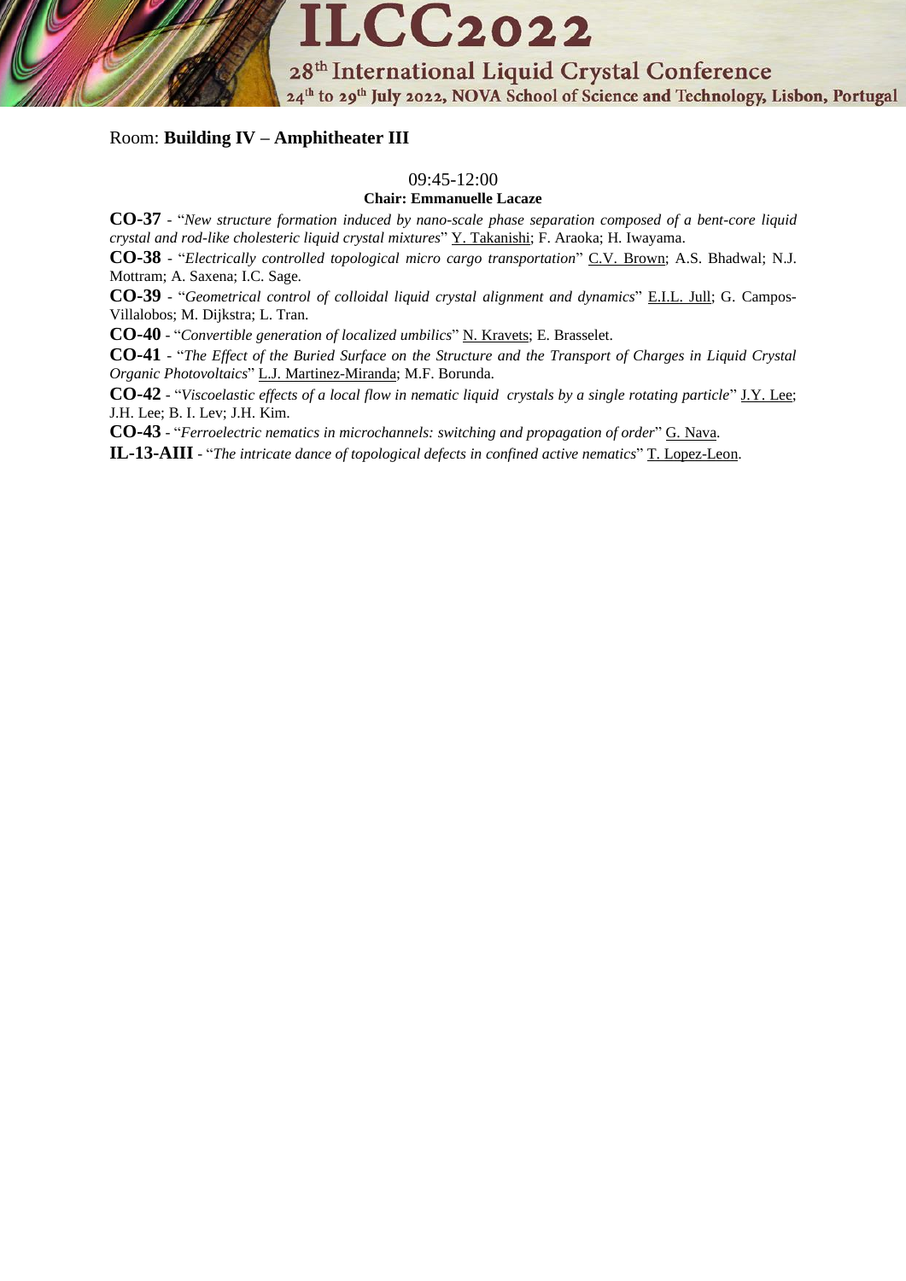

### Room: **Building IV – Amphitheater III**

#### 09:45-12:00

### **Chair: Emmanuelle Lacaze**

**CO-37** - "*New structure formation induced by nano-scale phase separation composed of a bent-core liquid crystal and rod-like cholesteric liquid crystal mixtures*" Y. Takanishi; F. Araoka; H. Iwayama.

**CO-38** - "*Electrically controlled topological micro cargo transportation*" C.V. Brown; A.S. Bhadwal; N.J. Mottram; A. Saxena; I.C. Sage.

**CO-39** - "*Geometrical control of colloidal liquid crystal alignment and dynamics*" E.I.L. Jull; G. Campos-Villalobos; M. Dijkstra; L. Tran.

**CO-40** - "*Convertible generation of localized umbilics*" N. Kravets; E. Brasselet.

**CO-41** - "*The Effect of the Buried Surface on the Structure and the Transport of Charges in Liquid Crystal Organic Photovoltaics*" L.J. Martinez-Miranda; M.F. Borunda.

**CO-42** - "*Viscoelastic effects of a local flow in nematic liquid crystals by a single rotating particle*" J.Y. Lee; J.H. Lee; B. I. Lev; J.H. Kim.

**CO-43** - "*Ferroelectric nematics in microchannels: switching and propagation of order*" G. Nava.

**IL-13-AIII** - "*The intricate dance of topological defects in confined active nematics*" T. Lopez-Leon.